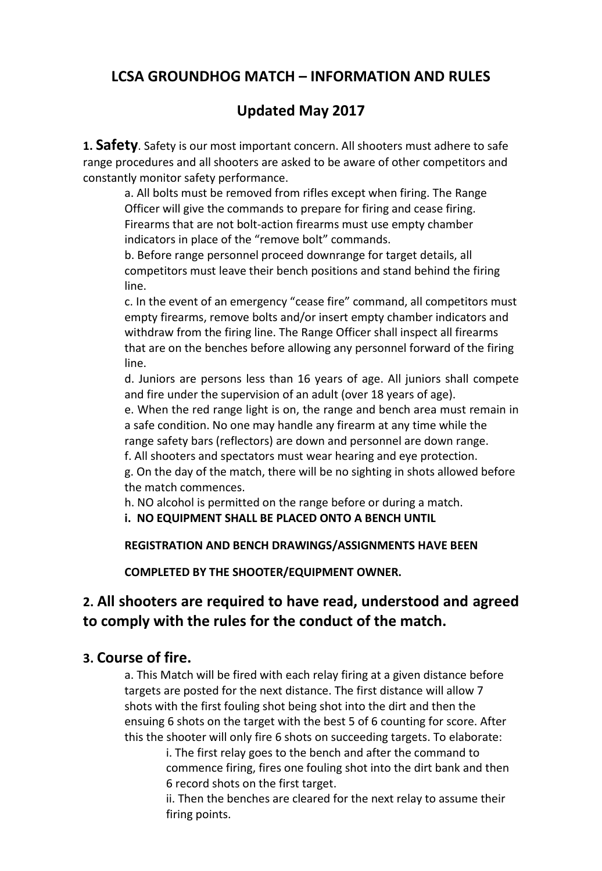## **LCSA GROUNDHOG MATCH – INFORMATION AND RULES**

# **Updated May 2017**

**1. Safety**. Safety is our most important concern. All shooters must adhere to safe range procedures and all shooters are asked to be aware of other competitors and constantly monitor safety performance.

a. All bolts must be removed from rifles except when firing. The Range Officer will give the commands to prepare for firing and cease firing. Firearms that are not bolt-action firearms must use empty chamber indicators in place of the "remove bolt" commands.

b. Before range personnel proceed downrange for target details, all competitors must leave their bench positions and stand behind the firing line.

c. In the event of an emergency "cease fire" command, all competitors must empty firearms, remove bolts and/or insert empty chamber indicators and withdraw from the firing line. The Range Officer shall inspect all firearms that are on the benches before allowing any personnel forward of the firing line.

d. Juniors are persons less than 16 years of age. All juniors shall compete and fire under the supervision of an adult (over 18 years of age).

e. When the red range light is on, the range and bench area must remain in a safe condition. No one may handle any firearm at any time while the range safety bars (reflectors) are down and personnel are down range.

f. All shooters and spectators must wear hearing and eye protection.

g. On the day of the match, there will be no sighting in shots allowed before the match commences.

h. NO alcohol is permitted on the range before or during a match.

**i. NO EQUIPMENT SHALL BE PLACED ONTO A BENCH UNTIL**

**REGISTRATION AND BENCH DRAWINGS/ASSIGNMENTS HAVE BEEN**

**COMPLETED BY THE SHOOTER/EQUIPMENT OWNER.**

# **2. All shooters are required to have read, understood and agreed to comply with the rules for the conduct of the match.**

### **3. Course of fire.**

a. This Match will be fired with each relay firing at a given distance before targets are posted for the next distance. The first distance will allow 7 shots with the first fouling shot being shot into the dirt and then the ensuing 6 shots on the target with the best 5 of 6 counting for score. After this the shooter will only fire 6 shots on succeeding targets. To elaborate:

i. The first relay goes to the bench and after the command to commence firing, fires one fouling shot into the dirt bank and then 6 record shots on the first target.

ii. Then the benches are cleared for the next relay to assume their firing points.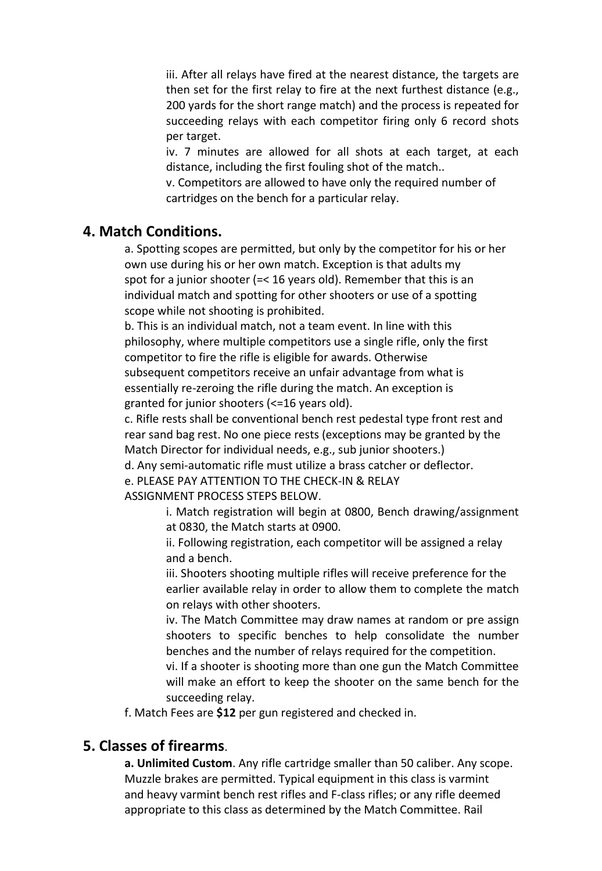iii. After all relays have fired at the nearest distance, the targets are then set for the first relay to fire at the next furthest distance (e.g., 200 yards for the short range match) and the process is repeated for succeeding relays with each competitor firing only 6 record shots per target.

iv. 7 minutes are allowed for all shots at each target, at each distance, including the first fouling shot of the match..

v. Competitors are allowed to have only the required number of cartridges on the bench for a particular relay.

#### **4. Match Conditions.**

a. Spotting scopes are permitted, but only by the competitor for his or her own use during his or her own match. Exception is that adults my spot for a junior shooter (=< 16 years old). Remember that this is an individual match and spotting for other shooters or use of a spotting scope while not shooting is prohibited.

b. This is an individual match, not a team event. In line with this philosophy, where multiple competitors use a single rifle, only the first competitor to fire the rifle is eligible for awards. Otherwise subsequent competitors receive an unfair advantage from what is essentially re-zeroing the rifle during the match. An exception is granted for junior shooters (<=16 years old).

c. Rifle rests shall be conventional bench rest pedestal type front rest and rear sand bag rest. No one piece rests (exceptions may be granted by the Match Director for individual needs, e.g., sub junior shooters.)

d. Any semi-automatic rifle must utilize a brass catcher or deflector.

e. PLEASE PAY ATTENTION TO THE CHECK-IN & RELAY ASSIGNMENT PROCESS STEPS BELOW.

> i. Match registration will begin at 0800, Bench drawing/assignment at 0830, the Match starts at 0900.

ii. Following registration, each competitor will be assigned a relay and a bench.

iii. Shooters shooting multiple rifles will receive preference for the earlier available relay in order to allow them to complete the match on relays with other shooters.

iv. The Match Committee may draw names at random or pre assign shooters to specific benches to help consolidate the number benches and the number of relays required for the competition.

vi. If a shooter is shooting more than one gun the Match Committee will make an effort to keep the shooter on the same bench for the succeeding relay.

f. Match Fees are **\$12** per gun registered and checked in.

### **5. Classes of firearms**.

**a. Unlimited Custom**. Any rifle cartridge smaller than 50 caliber. Any scope. Muzzle brakes are permitted. Typical equipment in this class is varmint and heavy varmint bench rest rifles and F-class rifles; or any rifle deemed appropriate to this class as determined by the Match Committee. Rail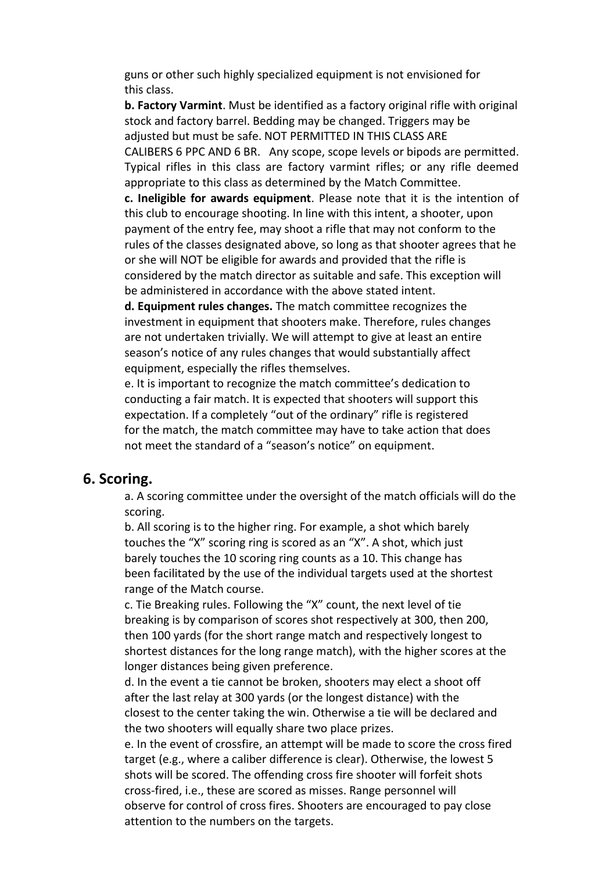guns or other such highly specialized equipment is not envisioned for this class.

**b. Factory Varmint**. Must be identified as a factory original rifle with original stock and factory barrel. Bedding may be changed. Triggers may be adjusted but must be safe. NOT PERMITTED IN THIS CLASS ARE CALIBERS 6 PPC AND 6 BR. Any scope, scope levels or bipods are permitted. Typical rifles in this class are factory varmint rifles; or any rifle deemed appropriate to this class as determined by the Match Committee.

**c. Ineligible for awards equipment**. Please note that it is the intention of this club to encourage shooting. In line with this intent, a shooter, upon payment of the entry fee, may shoot a rifle that may not conform to the rules of the classes designated above, so long as that shooter agrees that he or she will NOT be eligible for awards and provided that the rifle is considered by the match director as suitable and safe. This exception will be administered in accordance with the above stated intent.

**d. Equipment rules changes.** The match committee recognizes the investment in equipment that shooters make. Therefore, rules changes are not undertaken trivially. We will attempt to give at least an entire season's notice of any rules changes that would substantially affect equipment, especially the rifles themselves.

e. It is important to recognize the match committee's dedication to conducting a fair match. It is expected that shooters will support this expectation. If a completely "out of the ordinary" rifle is registered for the match, the match committee may have to take action that does not meet the standard of a "season's notice" on equipment.

#### **6. Scoring.**

a. A scoring committee under the oversight of the match officials will do the scoring.

b. All scoring is to the higher ring. For example, a shot which barely touches the "X" scoring ring is scored as an "X". A shot, which just barely touches the 10 scoring ring counts as a 10. This change has been facilitated by the use of the individual targets used at the shortest range of the Match course.

c. Tie Breaking rules. Following the "X" count, the next level of tie breaking is by comparison of scores shot respectively at 300, then 200, then 100 yards (for the short range match and respectively longest to shortest distances for the long range match), with the higher scores at the longer distances being given preference.

d. In the event a tie cannot be broken, shooters may elect a shoot off after the last relay at 300 yards (or the longest distance) with the closest to the center taking the win. Otherwise a tie will be declared and the two shooters will equally share two place prizes.

e. In the event of crossfire, an attempt will be made to score the cross fired target (e.g., where a caliber difference is clear). Otherwise, the lowest 5 shots will be scored. The offending cross fire shooter will forfeit shots cross-fired, i.e., these are scored as misses. Range personnel will observe for control of cross fires. Shooters are encouraged to pay close attention to the numbers on the targets.